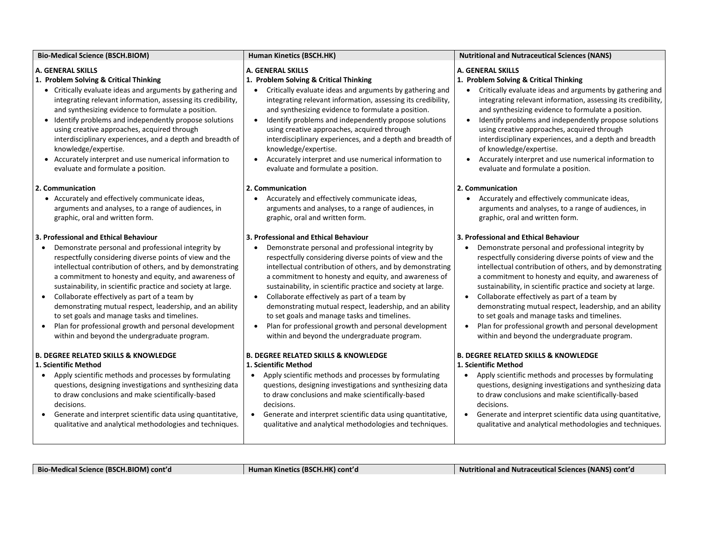| <b>Bio-Medical Science (BSCH.BIOM)</b>                                                                                                                                                                                                                                                                                                                                                                                                                                                                                                                                                                                        | Human Kinetics (BSCH.HK)                                                                                                                                                                                                                                                                                                                                                                                                                                                                                                                                                                                                                                | <b>Nutritional and Nutraceutical Sciences (NANS)</b>                                                                                                                                                                                                                                                                                                                                                                                                                                                                                                                                                             |
|-------------------------------------------------------------------------------------------------------------------------------------------------------------------------------------------------------------------------------------------------------------------------------------------------------------------------------------------------------------------------------------------------------------------------------------------------------------------------------------------------------------------------------------------------------------------------------------------------------------------------------|---------------------------------------------------------------------------------------------------------------------------------------------------------------------------------------------------------------------------------------------------------------------------------------------------------------------------------------------------------------------------------------------------------------------------------------------------------------------------------------------------------------------------------------------------------------------------------------------------------------------------------------------------------|------------------------------------------------------------------------------------------------------------------------------------------------------------------------------------------------------------------------------------------------------------------------------------------------------------------------------------------------------------------------------------------------------------------------------------------------------------------------------------------------------------------------------------------------------------------------------------------------------------------|
| <b>A. GENERAL SKILLS</b><br>1. Problem Solving & Critical Thinking<br>• Critically evaluate ideas and arguments by gathering and<br>integrating relevant information, assessing its credibility,<br>and synthesizing evidence to formulate a position.<br>• Identify problems and independently propose solutions<br>using creative approaches, acquired through<br>interdisciplinary experiences, and a depth and breadth of<br>knowledge/expertise.<br>• Accurately interpret and use numerical information to<br>evaluate and formulate a position.                                                                        | <b>A. GENERAL SKILLS</b><br>1. Problem Solving & Critical Thinking<br>Critically evaluate ideas and arguments by gathering and<br>$\bullet$<br>integrating relevant information, assessing its credibility,<br>and synthesizing evidence to formulate a position.<br>Identify problems and independently propose solutions<br>$\bullet$<br>using creative approaches, acquired through<br>interdisciplinary experiences, and a depth and breadth of<br>knowledge/expertise.<br>Accurately interpret and use numerical information to<br>$\bullet$<br>evaluate and formulate a position.                                                                 | A. GENERAL SKILLS<br>1. Problem Solving & Critical Thinking<br>Critically evaluate ideas and arguments by gathering and<br>integrating relevant information, assessing its credibility,<br>and synthesizing evidence to formulate a position.<br>Identify problems and independently propose solutions<br>$\bullet$<br>using creative approaches, acquired through<br>interdisciplinary experiences, and a depth and breadth<br>of knowledge/expertise.<br>Accurately interpret and use numerical information to<br>$\bullet$<br>evaluate and formulate a position.                                              |
| 2. Communication<br>• Accurately and effectively communicate ideas,<br>arguments and analyses, to a range of audiences, in<br>graphic, oral and written form.                                                                                                                                                                                                                                                                                                                                                                                                                                                                 | 2. Communication<br>Accurately and effectively communicate ideas,<br>arguments and analyses, to a range of audiences, in<br>graphic, oral and written form.                                                                                                                                                                                                                                                                                                                                                                                                                                                                                             | 2. Communication<br>• Accurately and effectively communicate ideas,<br>arguments and analyses, to a range of audiences, in<br>graphic, oral and written form.                                                                                                                                                                                                                                                                                                                                                                                                                                                    |
| 3. Professional and Ethical Behaviour<br>Demonstrate personal and professional integrity by<br>respectfully considering diverse points of view and the<br>intellectual contribution of others, and by demonstrating<br>a commitment to honesty and equity, and awareness of<br>sustainability, in scientific practice and society at large.<br>Collaborate effectively as part of a team by<br>demonstrating mutual respect, leadership, and an ability<br>to set goals and manage tasks and timelines.<br>Plan for professional growth and personal development<br>$\bullet$<br>within and beyond the undergraduate program. | 3. Professional and Ethical Behaviour<br>Demonstrate personal and professional integrity by<br>$\bullet$<br>respectfully considering diverse points of view and the<br>intellectual contribution of others, and by demonstrating<br>a commitment to honesty and equity, and awareness of<br>sustainability, in scientific practice and society at large.<br>Collaborate effectively as part of a team by<br>$\bullet$<br>demonstrating mutual respect, leadership, and an ability<br>to set goals and manage tasks and timelines.<br>Plan for professional growth and personal development<br>$\bullet$<br>within and beyond the undergraduate program. | 3. Professional and Ethical Behaviour<br>Demonstrate personal and professional integrity by<br>respectfully considering diverse points of view and the<br>intellectual contribution of others, and by demonstrating<br>a commitment to honesty and equity, and awareness of<br>sustainability, in scientific practice and society at large.<br>Collaborate effectively as part of a team by<br>demonstrating mutual respect, leadership, and an ability<br>to set goals and manage tasks and timelines.<br>Plan for professional growth and personal development<br>within and beyond the undergraduate program. |
| <b>B. DEGREE RELATED SKILLS &amp; KNOWLEDGE</b><br>1. Scientific Method<br>Apply scientific methods and processes by formulating<br>$\bullet$<br>questions, designing investigations and synthesizing data<br>to draw conclusions and make scientifically-based<br>decisions.<br>Generate and interpret scientific data using quantitative,<br>qualitative and analytical methodologies and techniques.                                                                                                                                                                                                                       | <b>B. DEGREE RELATED SKILLS &amp; KNOWLEDGE</b><br>1. Scientific Method<br>• Apply scientific methods and processes by formulating<br>questions, designing investigations and synthesizing data<br>to draw conclusions and make scientifically-based<br>decisions.<br>• Generate and interpret scientific data using quantitative,<br>qualitative and analytical methodologies and techniques.                                                                                                                                                                                                                                                          | <b>B. DEGREE RELATED SKILLS &amp; KNOWLEDGE</b><br>1. Scientific Method<br>Apply scientific methods and processes by formulating<br>questions, designing investigations and synthesizing data<br>to draw conclusions and make scientifically-based<br>decisions.<br>Generate and interpret scientific data using quantitative,<br>qualitative and analytical methodologies and techniques.                                                                                                                                                                                                                       |